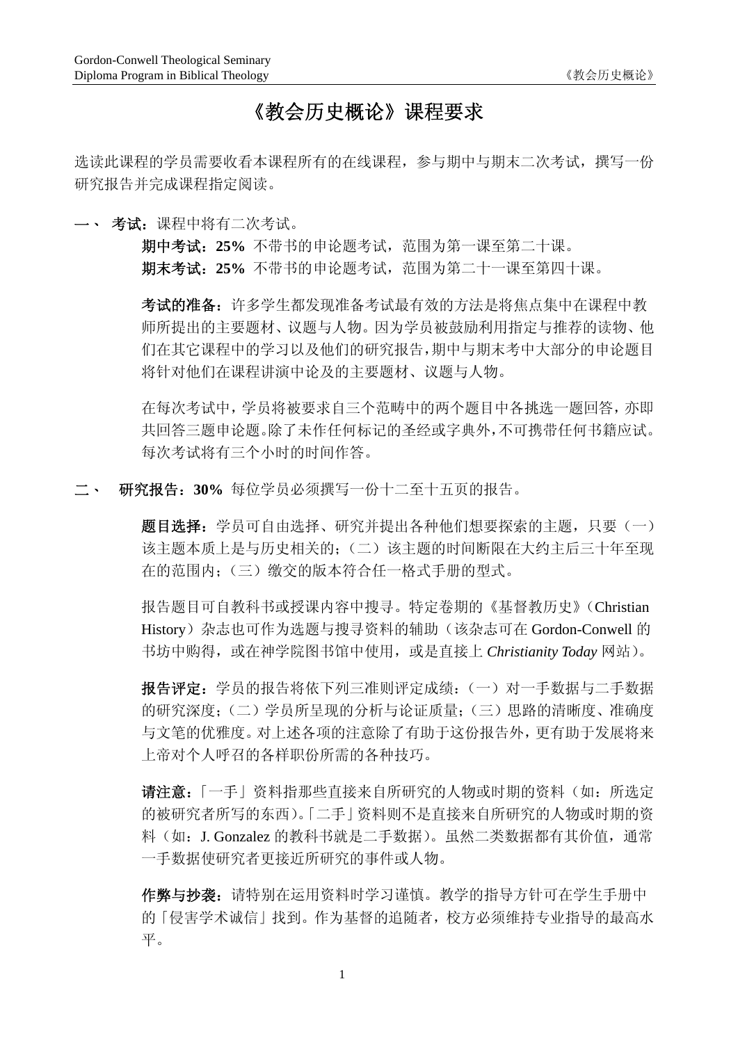# 《教会历史概论》课程要求

选读此课程的学员需要收看本课程所有的在线课程,参与期中与期末二次考试,撰写一份 研究报告并完成课程指定阅读。

一、考试:课程中将有二次考试。

期中考试:**25%** 不带书的申论题考试,范围为第一课至第二十课。 期末考试:**25%** 不带书的申论题考试,范围为第二十一课至第四十课。

考试的准备:许多学生都发现准备考试最有效的方法是将焦点集中在课程中教 师所提出的主要题材、议题与人物。因为学员被鼓励利用指定与推荐的读物、他 们在其它课程中的学习以及他们的研究报告,期中与期末考中大部分的申论题目 将针对他们在课程讲演中论及的主要题材、议题与人物。

在每次考试中,学员将被要求自三个范畴中的两个题目中各挑选一题回答,亦即 共回答三题申论题。除了未作任何标记的圣经或字典外,不可携带任何书籍应试。 每次考试将有三个小时的时间作答。

二、 研究报告:**30%** 每位学员必须撰写一份十二至十五页的报告。

题目选择:学员可自由选择、研究并提出各种他们想要探索的主题,只要(一) 该主题本质上是与历史相关的;(二)该主题的时间断限在大约主后三十年至现 在的范围内;(三)缴交的版本符合任一格式手册的型式。

报告题目可自教科书或授课内容中搜寻。特定卷期的《基督教历史》(Christian History)杂志也可作为选题与搜寻资料的辅助(该杂志可在 Gordon-Conwell 的 书坊中购得,或在神学院图书馆中使用,或是直接上 *Christianity Today* 网站)。

报告评定:学员的报告将依下列三准则评定成绩:(一)对一手数据与二手数据 的研究深度;(二)学员所呈现的分析与论证质量;(三)思路的清晰度、准确度 与文笔的优雅度。对上述各项的注意除了有助于这份报告外,更有助于发展将来 上帝对个人呼召的各样职份所需的各种技巧。

请注意:「一手」资料指那些直接来自所研究的人物或时期的资料(如:所选定 的被研究者所写的东西)。「二手」资料则不是直接来自所研究的人物或时期的资 料(如: J. Gonzalez 的教科书就是二手数据)。虽然二类数据都有其价值,通常 一手数据使研究者更接近所研究的事件或人物。

作弊与抄袭:请特别在运用资料时学习谨慎。教学的指导方针可在学生手册中 的「侵害学术诚信」找到。作为基督的追随者,校方必须维持专业指导的最高水 平。

 $1$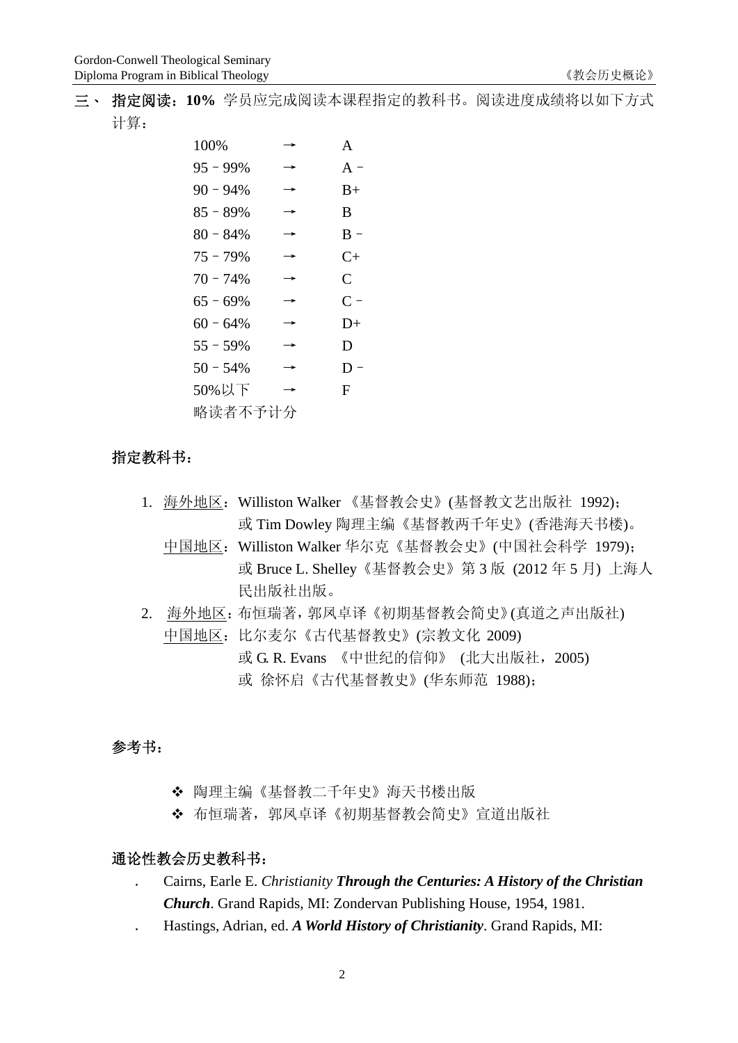三、 指定阅读:**10%** 学员应完成阅读本课程指定的教科书。阅读进度成绩将以如下方式 计算:

| 100%        |   | A             |
|-------------|---|---------------|
| $95 - 99%$  | → | $A -$         |
| $90 - 94\%$ | → | $B+$          |
| $85 - 89%$  | → | B             |
| 80 - 84%    | → | $R -$         |
| $75 - 79\%$ | → | C+            |
| $70 - 74%$  | → | $\mathcal{C}$ |
| $65 - 69%$  | → | $C =$         |
| $60 - 64\%$ | → | $D+$          |
| $55 - 59\%$ |   | D             |
| $50 - 54\%$ |   | $D -$         |
| 50%以下       | → | F.            |
| 略读者不予计分     |   |               |

## 指定教科书:

- 1. 海外地区:Williston Walker 《基督教会史》(基督教文艺出版社 1992); 或 Tim Dowley 陶理主编《基督教两千年史》(香港海天书楼)。
	- 中国地区: Williston Walker 华尔克《基督教会史》(中国社会科学 1979); 或 Bruce L. Shelley《基督教会史》第 3 版 (2012 年 5 月) 上海人 民出版社出版。
- 2. 海外地区:布恒瑞著,郭凤卓译《初期基督教会简史》(真道之声出版社) 中国地区:比尔麦尔《古代基督教史》(宗教文化 2009) 或 G. R. Evans 《中世纪的信仰》 (北大出版社, 2005) 或 徐怀启《古代基督教史》(华东师范 1988);

## 参考书:

- 陶理主编《基督教二千年史》海天书楼出版
- 布恒瑞著,郭凤卓译《初期基督教会简史》宣道出版社

#### 通论性教会历史教科书:

- . Cairns, Earle E. *Christianity Through the Centuries: A History of the Christian Church*. Grand Rapids, MI: Zondervan Publishing House, 1954, 1981.
- . Hastings, Adrian, ed. *A World History of Christianity*. Grand Rapids, MI: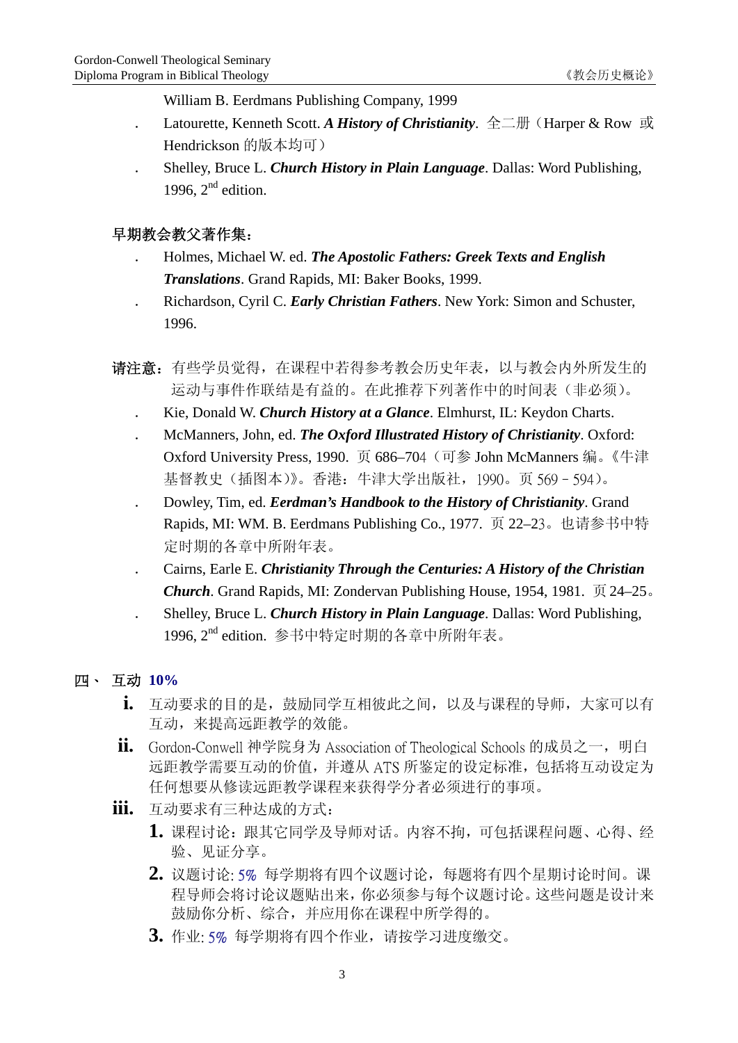William B. Eerdmans Publishing Company, 1999

- . Latourette, Kenneth Scott. *A History of Christianity*. 全二册(Harper & Row 或 Hendrickson 的版本均可)
- . Shelley, Bruce L. *Church History in Plain Language*. Dallas: Word Publishing, 1996,  $2<sup>nd</sup>$  edition.

# 早期教会教父著作集:

- . Holmes, Michael W. ed. *The Apostolic Fathers: Greek Texts and English Translations*. Grand Rapids, MI: Baker Books, 1999.
- . Richardson, Cyril C. *Early Christian Fathers*. New York: Simon and Schuster, 1996.
- 请注意:有些学员觉得,在课程中若得参考教会历史年表,以与教会内外所发生的 运动与事件作联结是有益的。在此推荐下列著作中的时间表(非必须)。
	- . Kie, Donald W. *Church History at a Glance*. Elmhurst, IL: Keydon Charts.
	- . McManners, John, ed. *The Oxford Illustrated History of Christianity*. Oxford: Oxford University Press, 1990. 页 686–704(可参 John McManners 编。《牛津 基督教史(插图本)》。香港:牛津大学出版社,1990。页 569–594)。
	- . Dowley, Tim, ed. *Eerdman's Handbook to the History of Christianity*. Grand Rapids, MI: WM. B. Eerdmans Publishing Co., 1977. 页 22–23。也请参书中特 定时期的各章中所附年表。
	- . Cairns, Earle E. *Christianity Through the Centuries: A History of the Christian Church*. Grand Rapids, MI: Zondervan Publishing House, 1954, 1981. 页24–25。
	- . Shelley, Bruce L. *Church History in Plain Language*. Dallas: Word Publishing, 1996. 2<sup>nd</sup> edition. 参书中特定时期的各章中所附年表。

# 四、 互动 **10%**

- **i.** 互动要求的目的是,鼓励同学互相彼此之间,以及与课程的导师,大家可以有 互动,来提高远距教学的效能。
- **ii.** Gordon-Conwell 神学院身为 Association of Theological Schools 的成员之一, 明白 远距教学需要互动的价值,并遵从 ATS 所鉴定的设定标准,包括将互动设定为 任何想要从修读远距教学课程来获得学分者必须进行的事项。
- **iii.** 互动要求有三种达成的方式:
	- **1.** 课程讨论:跟其它同学及导师对话。内容不拘,可包括课程问题、心得、经 验、见证分享。
	- **2.** 议题讨论: 5% 每学期将有四个议题讨论,每题将有四个星期讨论时间。课 程导师会将讨论议题贴出来,你必须参与每个议题讨论。这些问题是设计来 鼓励你分析、综合,并应用你在课程中所学得的。
	- **3.** 作业: 5% 每学期将有四个作业,请按学习进度缴交。